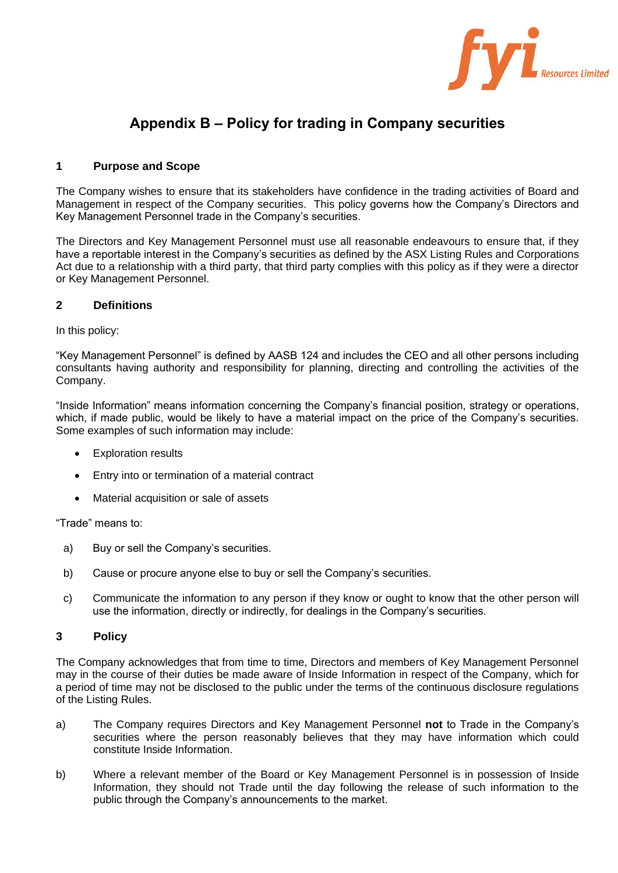

# **Appendix B – Policy for trading in Company securities**

# **1 Purpose and Scope**

The Company wishes to ensure that its stakeholders have confidence in the trading activities of Board and Management in respect of the Company securities. This policy governs how the Company's Directors and Key Management Personnel trade in the Company's securities.

The Directors and Key Management Personnel must use all reasonable endeavours to ensure that, if they have a reportable interest in the Company's securities as defined by the ASX Listing Rules and Corporations Act due to a relationship with a third party, that third party complies with this policy as if they were a director or Key Management Personnel.

# **2 Definitions**

In this policy:

"Key Management Personnel" is defined by AASB 124 and includes the CEO and all other persons including consultants having authority and responsibility for planning, directing and controlling the activities of the Company.

"Inside Information" means information concerning the Company's financial position, strategy or operations, which, if made public, would be likely to have a material impact on the price of the Company's securities. Some examples of such information may include:

- **Exploration results**
- Entry into or termination of a material contract
- Material acquisition or sale of assets

"Trade" means to:

- a) Buy or sell the Company's securities.
- b) Cause or procure anyone else to buy or sell the Company's securities.
- c) Communicate the information to any person if they know or ought to know that the other person will use the information, directly or indirectly, for dealings in the Company's securities.

# **3 Policy**

The Company acknowledges that from time to time, Directors and members of Key Management Personnel may in the course of their duties be made aware of Inside Information in respect of the Company, which for a period of time may not be disclosed to the public under the terms of the continuous disclosure regulations of the Listing Rules.

- a) The Company requires Directors and Key Management Personnel **not** to Trade in the Company's securities where the person reasonably believes that they may have information which could constitute Inside Information.
- b) Where a relevant member of the Board or Key Management Personnel is in possession of Inside Information, they should not Trade until the day following the release of such information to the public through the Company's announcements to the market.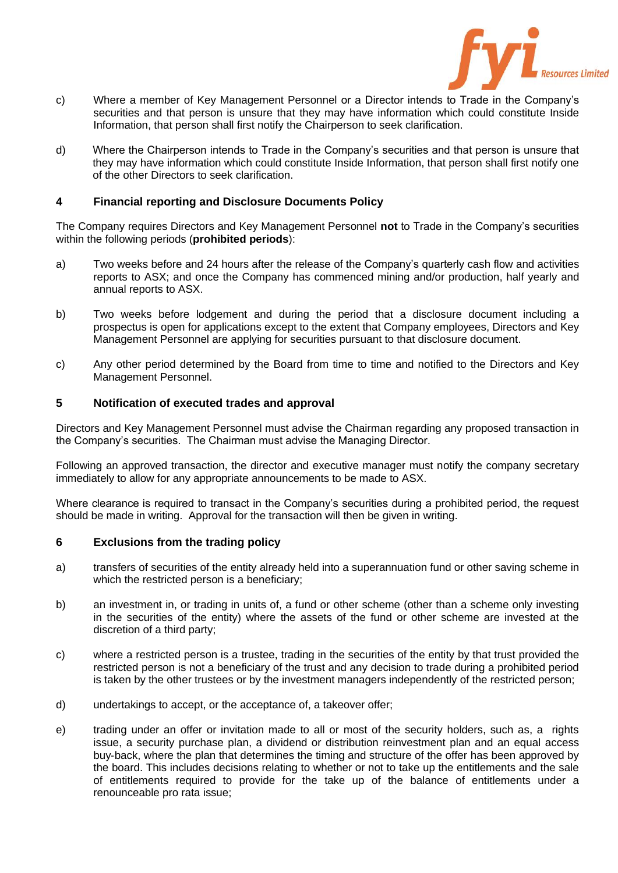

- c) Where a member of Key Management Personnel or a Director intends to Trade in the Company's securities and that person is unsure that they may have information which could constitute Inside Information, that person shall first notify the Chairperson to seek clarification.
- d) Where the Chairperson intends to Trade in the Company's securities and that person is unsure that they may have information which could constitute Inside Information, that person shall first notify one of the other Directors to seek clarification.

# **4 Financial reporting and Disclosure Documents Policy**

The Company requires Directors and Key Management Personnel **not** to Trade in the Company's securities within the following periods (**prohibited periods**):

- a) Two weeks before and 24 hours after the release of the Company's quarterly cash flow and activities reports to ASX; and once the Company has commenced mining and/or production, half yearly and annual reports to ASX.
- b) Two weeks before lodgement and during the period that a disclosure document including a prospectus is open for applications except to the extent that Company employees, Directors and Key Management Personnel are applying for securities pursuant to that disclosure document.
- c) Any other period determined by the Board from time to time and notified to the Directors and Key Management Personnel.

# **5 Notification of executed trades and approval**

Directors and Key Management Personnel must advise the Chairman regarding any proposed transaction in the Company's securities. The Chairman must advise the Managing Director.

Following an approved transaction, the director and executive manager must notify the company secretary immediately to allow for any appropriate announcements to be made to ASX.

Where clearance is required to transact in the Company's securities during a prohibited period, the request should be made in writing. Approval for the transaction will then be given in writing.

# **6 Exclusions from the trading policy**

- a) transfers of securities of the entity already held into a superannuation fund or other saving scheme in which the restricted person is a beneficiary;
- b) an investment in, or trading in units of, a fund or other scheme (other than a scheme only investing in the securities of the entity) where the assets of the fund or other scheme are invested at the discretion of a third party;
- c) where a restricted person is a trustee, trading in the securities of the entity by that trust provided the restricted person is not a beneficiary of the trust and any decision to trade during a prohibited period is taken by the other trustees or by the investment managers independently of the restricted person;
- d) undertakings to accept, or the acceptance of, a takeover offer;
- e) trading under an offer or invitation made to all or most of the security holders, such as, a rights issue, a security purchase plan, a dividend or distribution reinvestment plan and an equal access buy‐back, where the plan that determines the timing and structure of the offer has been approved by the board. This includes decisions relating to whether or not to take up the entitlements and the sale of entitlements required to provide for the take up of the balance of entitlements under a renounceable pro rata issue;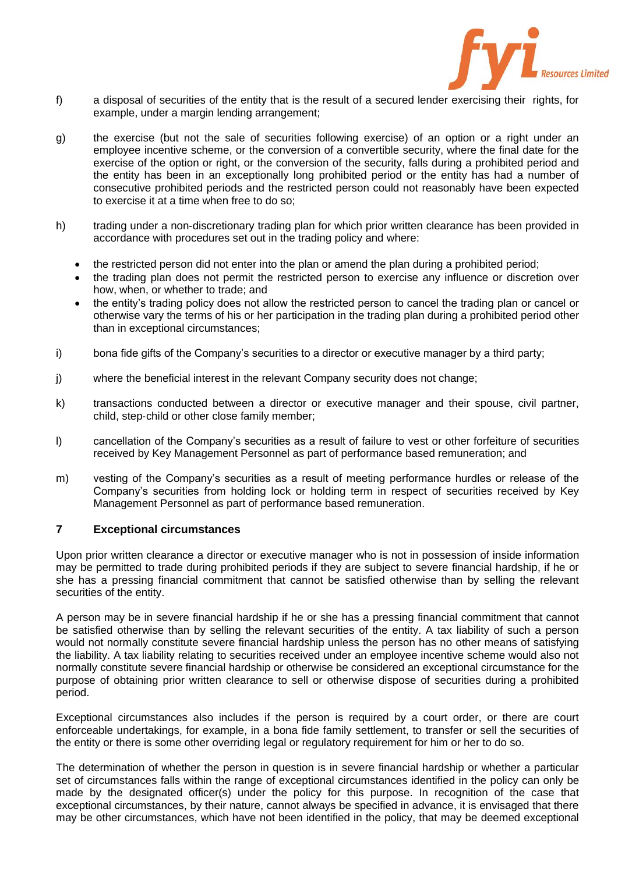

- f) a disposal of securities of the entity that is the result of a secured lender exercising their rights, for example, under a margin lending arrangement;
- g) the exercise (but not the sale of securities following exercise) of an option or a right under an employee incentive scheme, or the conversion of a convertible security, where the final date for the exercise of the option or right, or the conversion of the security, falls during a prohibited period and the entity has been in an exceptionally long prohibited period or the entity has had a number of consecutive prohibited periods and the restricted person could not reasonably have been expected to exercise it at a time when free to do so;
- h) trading under a non-discretionary trading plan for which prior written clearance has been provided in accordance with procedures set out in the trading policy and where:
	- the restricted person did not enter into the plan or amend the plan during a prohibited period;
	- the trading plan does not permit the restricted person to exercise any influence or discretion over how, when, or whether to trade; and
	- the entity's trading policy does not allow the restricted person to cancel the trading plan or cancel or otherwise vary the terms of his or her participation in the trading plan during a prohibited period other than in exceptional circumstances;
- i) bona fide gifts of the Company's securities to a director or executive manager by a third party;
- j) where the beneficial interest in the relevant Company security does not change;
- k) transactions conducted between a director or executive manager and their spouse, civil partner, child, step‐child or other close family member;
- l) cancellation of the Company's securities as a result of failure to vest or other forfeiture of securities received by Key Management Personnel as part of performance based remuneration; and
- m) vesting of the Company's securities as a result of meeting performance hurdles or release of the Company's securities from holding lock or holding term in respect of securities received by Key Management Personnel as part of performance based remuneration.

# **7 Exceptional circumstances**

Upon prior written clearance a director or executive manager who is not in possession of inside information may be permitted to trade during prohibited periods if they are subject to severe financial hardship, if he or she has a pressing financial commitment that cannot be satisfied otherwise than by selling the relevant securities of the entity.

A person may be in severe financial hardship if he or she has a pressing financial commitment that cannot be satisfied otherwise than by selling the relevant securities of the entity. A tax liability of such a person would not normally constitute severe financial hardship unless the person has no other means of satisfying the liability. A tax liability relating to securities received under an employee incentive scheme would also not normally constitute severe financial hardship or otherwise be considered an exceptional circumstance for the purpose of obtaining prior written clearance to sell or otherwise dispose of securities during a prohibited period.

Exceptional circumstances also includes if the person is required by a court order, or there are court enforceable undertakings, for example, in a bona fide family settlement, to transfer or sell the securities of the entity or there is some other overriding legal or regulatory requirement for him or her to do so.

The determination of whether the person in question is in severe financial hardship or whether a particular set of circumstances falls within the range of exceptional circumstances identified in the policy can only be made by the designated officer(s) under the policy for this purpose. In recognition of the case that exceptional circumstances, by their nature, cannot always be specified in advance, it is envisaged that there may be other circumstances, which have not been identified in the policy, that may be deemed exceptional